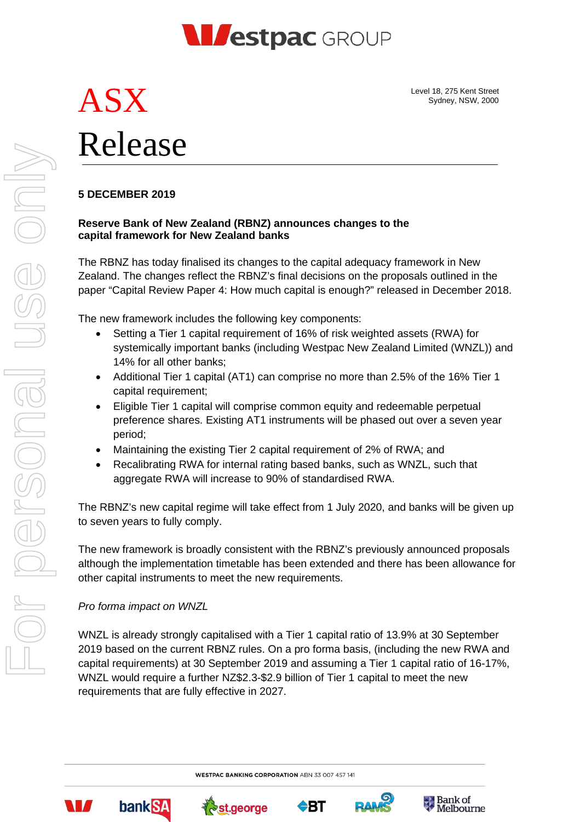

Level 18, 275 Kent Street Sydney, NSW, 2000

# ASX Release

# **5 DECEMBER 2019**

### **Reserve Bank of New Zealand (RBNZ) announces changes to the capital framework for New Zealand banks**

The RBNZ has today finalised its changes to the capital adequacy framework in New Zealand. The changes reflect the RBNZ's final decisions on the proposals outlined in the paper "Capital Review Paper 4: How much capital is enough?" released in December 2018.

The new framework includes the following key components:

- Setting a Tier 1 capital requirement of 16% of risk weighted assets (RWA) for systemically important banks (including Westpac New Zealand Limited (WNZL)) and 14% for all other banks;
- Additional Tier 1 capital (AT1) can comprise no more than 2.5% of the 16% Tier 1 capital requirement;
- Eligible Tier 1 capital will comprise common equity and redeemable perpetual preference shares. Existing AT1 instruments will be phased out over a seven year period;
- Maintaining the existing Tier 2 capital requirement of 2% of RWA; and
- Recalibrating RWA for internal rating based banks, such as WNZL, such that aggregate RWA will increase to 90% of standardised RWA.

The RBNZ's new capital regime will take effect from 1 July 2020, and banks will be given up to seven years to fully comply.

The new framework is broadly consistent with the RBNZ's previously announced proposals although the implementation timetable has been extended and there has been allowance for other capital instruments to meet the new requirements.

## *Pro forma impact on WNZL*

WNZL is already strongly capitalised with a Tier 1 capital ratio of 13.9% at 30 September 2019 based on the current RBNZ rules. On a pro forma basis, (including the new RWA and capital requirements) at 30 September 2019 and assuming a Tier 1 capital ratio of 16-17%, WNZL would require a further NZ\$2.3-\$2.9 billion of Tier 1 capital to meet the new requirements that are fully effective in 2027.

**WESTPAC BANKING CORPORATION ABN 33 007 457 141** 

For personal use only

I personal

USS ON